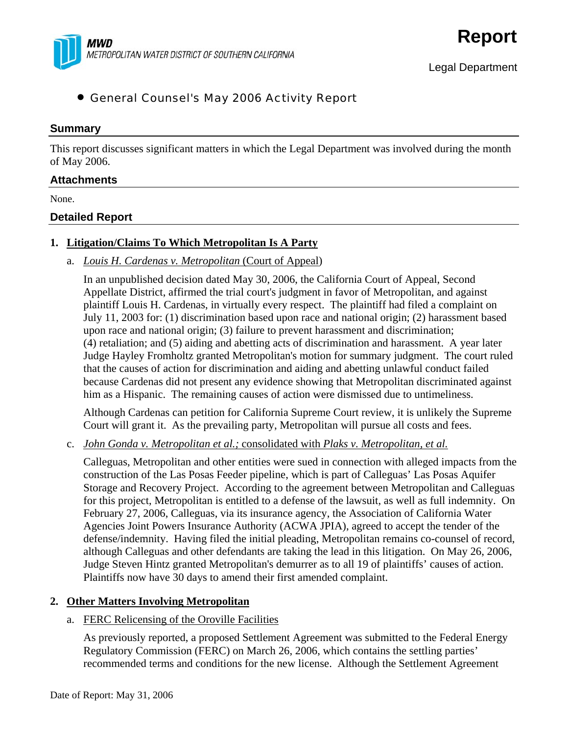

# • General Counsel's May 2006 Activity Report

#### **Summary**

This report discusses significant matters in which the Legal Department was involved during the month of May 2006.

### **Attachments**

None.

### **Detailed Report**

### **1. Litigation/Claims To Which Metropolitan Is A Party**

a. *Louis H. Cardenas v. Metropolitan* (Court of Appeal)

In an unpublished decision dated May 30, 2006, the California Court of Appeal, Second Appellate District, affirmed the trial court's judgment in favor of Metropolitan, and against plaintiff Louis H. Cardenas, in virtually every respect. The plaintiff had filed a complaint on July 11, 2003 for: (1) discrimination based upon race and national origin; (2) harassment based upon race and national origin; (3) failure to prevent harassment and discrimination; (4) retaliation; and (5) aiding and abetting acts of discrimination and harassment. A year later Judge Hayley Fromholtz granted Metropolitan's motion for summary judgment. The court ruled that the causes of action for discrimination and aiding and abetting unlawful conduct failed because Cardenas did not present any evidence showing that Metropolitan discriminated against him as a Hispanic. The remaining causes of action were dismissed due to untimeliness.

Although Cardenas can petition for California Supreme Court review, it is unlikely the Supreme Court will grant it. As the prevailing party, Metropolitan will pursue all costs and fees.

#### c. *John Gonda v. Metropolitan et al.;* consolidated with *Plaks v. Metropolitan, et al.*

Calleguas, Metropolitan and other entities were sued in connection with alleged impacts from the construction of the Las Posas Feeder pipeline, which is part of Calleguas' Las Posas Aquifer Storage and Recovery Project. According to the agreement between Metropolitan and Calleguas for this project, Metropolitan is entitled to a defense of the lawsuit, as well as full indemnity. On February 27, 2006, Calleguas, via its insurance agency, the Association of California Water Agencies Joint Powers Insurance Authority (ACWA JPIA), agreed to accept the tender of the defense/indemnity. Having filed the initial pleading, Metropolitan remains co-counsel of record, although Calleguas and other defendants are taking the lead in this litigation. On May 26, 2006, Judge Steven Hintz granted Metropolitan's demurrer as to all 19 of plaintiffs' causes of action. Plaintiffs now have 30 days to amend their first amended complaint.

### **2. Other Matters Involving Metropolitan**

#### a. FERC Relicensing of the Oroville Facilities

As previously reported, a proposed Settlement Agreement was submitted to the Federal Energy Regulatory Commission (FERC) on March 26, 2006, which contains the settling parties' recommended terms and conditions for the new license. Although the Settlement Agreement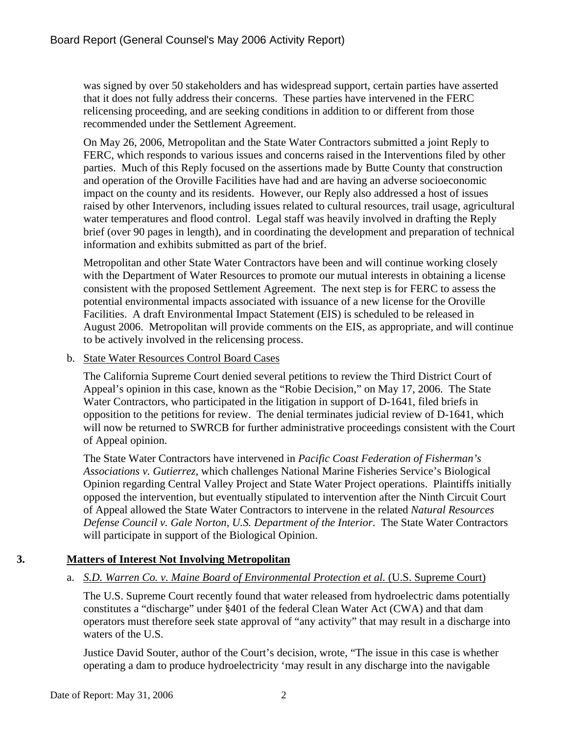was signed by over 50 stakeholders and has widespread support, certain parties have asserted that it does not fully address their concerns. These parties have intervened in the FERC relicensing proceeding, and are seeking conditions in addition to or different from those recommended under the Settlement Agreement.

On May 26, 2006, Metropolitan and the State Water Contractors submitted a joint Reply to FERC, which responds to various issues and concerns raised in the Interventions filed by other parties. Much of this Reply focused on the assertions made by Butte County that construction and operation of the Oroville Facilities have had and are having an adverse socioeconomic impact on the county and its residents. However, our Reply also addressed a host of issues raised by other Intervenors, including issues related to cultural resources, trail usage, agricultural water temperatures and flood control. Legal staff was heavily involved in drafting the Reply brief (over 90 pages in length), and in coordinating the development and preparation of technical information and exhibits submitted as part of the brief.

Metropolitan and other State Water Contractors have been and will continue working closely with the Department of Water Resources to promote our mutual interests in obtaining a license consistent with the proposed Settlement Agreement. The next step is for FERC to assess the potential environmental impacts associated with issuance of a new license for the Oroville Facilities. A draft Environmental Impact Statement (EIS) is scheduled to be released in August 2006. Metropolitan will provide comments on the EIS, as appropriate, and will continue to be actively involved in the relicensing process.

b. State Water Resources Control Board Cases

The California Supreme Court denied several petitions to review the Third District Court of Appeal's opinion in this case, known as the "Robie Decision," on May 17, 2006. The State Water Contractors, who participated in the litigation in support of D-1641, filed briefs in opposition to the petitions for review. The denial terminates judicial review of D-1641, which will now be returned to SWRCB for further administrative proceedings consistent with the Court of Appeal opinion.

 The State Water Contractors have intervened in *Pacific Coast Federation of Fisherman's Associations v. Gutierrez,* which challenges National Marine Fisheries Service's Biological Opinion regarding Central Valley Project and State Water Project operations. Plaintiffs initially opposed the intervention, but eventually stipulated to intervention after the Ninth Circuit Court of Appeal allowed the State Water Contractors to intervene in the related *Natural Resources Defense Council v. Gale Norton, U.S. Department of the Interior*. The State Water Contractors will participate in support of the Biological Opinion.

### **3. Matters of Interest Not Involving Metropolitan**

a. *S.D. Warren Co. v. Maine Board of Environmental Protection et al.* (U.S. Supreme Court)

The U.S. Supreme Court recently found that water released from hydroelectric dams potentially constitutes a "discharge" under §401 of the federal Clean Water Act (CWA) and that dam operators must therefore seek state approval of "any activity" that may result in a discharge into waters of the U.S.

Justice David Souter, author of the Court's decision, wrote, "The issue in this case is whether operating a dam to produce hydroelectricity 'may result in any discharge into the navigable